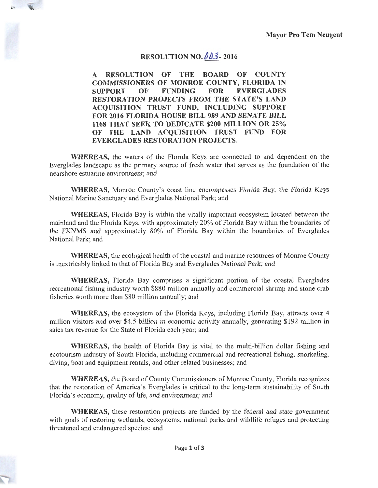## **RESOLUTION NO. 003-2016**

**A RESOLUTION OF THE BOARD OF COUNTY COMMISSIONERS OF MONROE COUNTY, FLORIDA IN SUPPORT OF FUNDING FOR EVERGLADES RESTORATION PROJECTS FROM THE STATE'S LAND ACQUISITION TRUST FUND, INCLUDING SUPPORT FOR 2016 FLORIDA HOUSE BILL 989 AND SENATE BILL 1168 THAT SEEK TO DEDICATE \$200 MILLION OR 25% OF THE LAND ACQUISITION TRUST FUND FOR EVERGLADES RESTORATION PROJECTS.** 

**WHEREAS,** the waters of the Florida Keys are connected to and dependent on the Everglades landscape as the primary source of fresh water that serves as the foundation of the nearshore estuarine environment; and

**WHEREAS,** Monroe County's coast line encompasses Florida Bay, the Florida Keys National Marine Sanctuary and Everglades National Park; and

**WHEREAS,** Florida Bay is within the vitally important ecosystem located between the mainland and the Florida Keys, with approximately 20% of Florida Bay within the boundaries of the FKNMS and approximately 80% of Florida Bay within the boundaries of Everglades National Park; and

**WHEREAS,** the ecological health of the coastal and marine resources of Monroe County is inextricably linked to that of Florida Bay and Everglades National Park; and

**WHEREAS,** Florida Bay comprises a significant portion of the coastal Everglades recreational fishing industry worth \$880 million annually and commercial shrimp and stone crab fisheries worth more than \$80 million annually; and

**WHEREAS,** the ecosystem of the Florida Keys, including Florida Bay, attracts over 4 million visitors and over \$4.5 billion in economic activity annually, generating \$192 million in sales tax revenue for the State of Florida each year; and

**WHEREAS,** the health of Florida Bay is vital to the multi-billion dollar fishing and ecotourism industry of South Florida, including commercial and recreational fishing, snorkeling, diving, boat and equipment rentals, and other related businesses; and

**WHEREAS,** the Board of County Commissioners of Monroe County, Florida recognizes that the restoration of America's Everglades is critical to the long-term sustainability of South Florida's economy, quality of life, and environment; and

**WHEREAS,** these restoration projects are funded by the federal and state government with goals of restoring wetlands, ecosystems, national parks and wildlife refuges and protecting threatened and endangered species; and

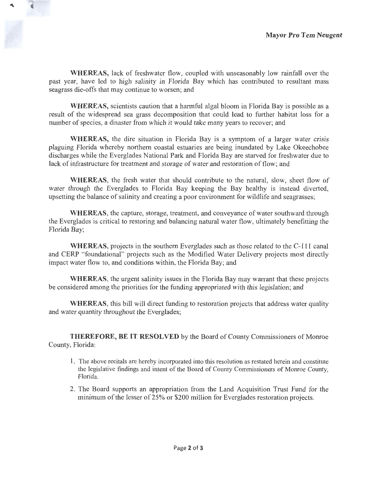**WHEREAS,** lack of freshwater flow, coupled with unseasonably low rainfall over the past year, have led to high salinity in Florida Bay which has contributed to resultant mass seagrass die-offs that may continue to worsen; and

**WHEREAS,** scientists caution that a harmful algal bloom in Florida Bay is possible as a result of the widespread sea grass decomposition that could lead to further habitat loss for a number of species, a disaster from which it would take many years to recover; and

**WHEREAS,** the dire situation in Florida Bay is a symptom of a larger water crisis plaguing Florida whereby northern coastal estuaries are being inundated by Lake Okeechobee discharges while the Everglades National Park and Florida Bay are starved for freshwater due to lack of infrastructure for treatment and storage of water and restoration of flow; and

**WHEREAS,** the fresh water that should contribute to the natural, slow, sheet flow of water through the Everglades to Florida Bay keeping the Bay healthy is instead diverted, upsetting the balance of salinity and creating a poor environment for wildlife and seagrasses;

**WHEREAS,** the capture, storage, treatment, and conveyance of water southward through the Everglades is critical to restoring and balancing natural water flow, ultimately benefitting the Florida Bay;

**WHEREAS,** projects in the southern Everglades such as those related to the C-111 canal and CERP "foundational" projects such as the Modified Water Delivery projects most directly impact water flow to, and conditions within, the Florida Bay; and

**WHEREAS,** the urgent salinity issues in the Florida Bay may warrant that these projects be considered among the priorities for the funding appropriated with this legislation; and

**WHEREAS,** this bill will direct funding to restoration projects that address water quality and water quantity throughout the Everglades;

**THEREFORE, BE IT RESOLVED** by the Board of County Commissioners of Monroe County, Florida:

- 1. The above recitals are hereby incorporated into this resolution as restated herein and constitute the legislative findings and intent of the Board of County Commissioners of Monroe County, Florida.
- 2. The Board supports an appropriation from the Land Acquisition Trust Fund for the minimum of the lesser of 25% or \$200 million for Everglades restoration projects.